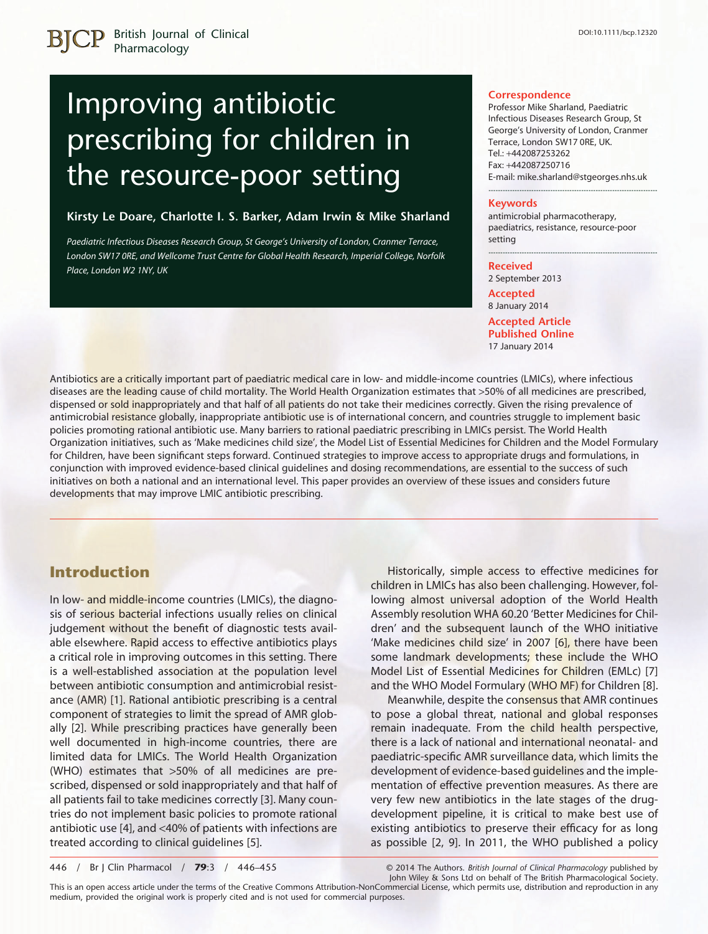# Improving antibiotic prescribing for children in the resource-poor setting

#### **Kirsty Le Doare, Charlotte I. S. Barker, Adam Irwin & Mike Sharland**

*Paediatric Infectious Diseases Research Group, St George's University of London, Cranmer Terrace, London SW17 0RE, and Wellcome Trust Centre for Global Health Research, Imperial College, Norfolk Place, London W2 1NY, UK*

#### **Correspondence**

Professor Mike Sharland, Paediatric Infectious Diseases Research Group, St George's University of London, Cranmer Terrace, London SW17 0RE, UK. Tel.: +442087253262 Fax: +442087250716 E-mail: [mike.sharland@stgeorges.nhs.uk](mailto:mike.sharland@stgeorges.nhs.uk)

-----------------------------------------------------------------------

#### **Keywords**

antimicrobial pharmacotherapy, paediatrics, resistance, resource-poor setting

-----------------------------------------------------------------------

#### **Received**

2 September 2013

**Accepted** 8 January 2014 **Accepted Article Published Online** 17 January 2014

Antibiotics are a critically important part of paediatric medical care in low- and middle-income countries (LMICs), where infectious diseases are the leading cause of child mortality. The World Health Organization estimates that >50% of all medicines are prescribed, dispensed or sold inappropriately and that half of all patients do not take their medicines correctly. Given the rising prevalence of antimicrobial resistance globally, inappropriate antibiotic use is of international concern, and countries struggle to implement basic policies promoting rational antibiotic use. Many barriers to rational paediatric prescribing in LMICs persist. The World Health Organization initiatives, such as 'Make medicines child size', the Model List of Essential Medicines for Children and the Model Formulary for Children, have been significant steps forward. Continued strategies to improve access to appropriate drugs and formulations, in conjunction with improved evidence-based clinical guidelines and dosing recommendations, are essential to the success of such initiatives on both a national and an international level. This paper provides an overview of these issues and considers future developments that may improve LMIC antibiotic prescribing.

#### **Introduction**

In low- and middle-income countries (LMICs), the diagnosis of serious bacterial infections usually relies on clinical judgement without the benefit of diagnostic tests available elsewhere. Rapid access to effective antibiotics plays a critical role in improving outcomes in this setting. There is a well-established association at the population level between antibiotic consumption and antimicrobial resistance (AMR) [1]. Rational antibiotic prescribing is a central component of strategies to limit the spread of AMR globally [2]. While prescribing practices have generally been well documented in high-income countries, there are limited data for LMICs. The World Health Organization (WHO) estimates that >50% of all medicines are prescribed, dispensed or sold inappropriately and that half of all patients fail to take medicines correctly [3]. Many countries do not implement basic policies to promote rational antibiotic use [4], and <40% of patients with infections are treated according to clinical guidelines [5].

Historically, simple access to effective medicines for children in LMICs has also been challenging. However, following almost universal adoption of the World Health Assembly resolution WHA 60.20 'Better Medicines for Children' and the subsequent launch of the WHO initiative 'Make medicines child size' in 2007 [6], there have been some landmark developments; these include the WHO Model List of Essential Medicines for Children (EMLc) [7] and the WHO Model Formulary (WHO MF) for Children [8].

Meanwhile, despite the consensus that AMR continues to pose a global threat, national and global responses remain inadequate. From the child health perspective, there is a lack of national and international neonatal- and paediatric-specific AMR surveillance data, which limits the development of evidence-based guidelines and the implementation of effective prevention measures. As there are very few new antibiotics in the late stages of the drugdevelopment pipeline, it is critical to make best use of existing antibiotics to preserve their efficacy for as long as possible [2, 9]. In 2011, the WHO published a policy

446 / Br J Clin Pharmacol / **79**:3 / 446–455

© 2014 The Authors. *British Journal of Clinical Pharmacology* published by John Wiley & Sons Ltd on behalf of The British Pharmacological Society.

This is an open access article under the terms of the [Creative Commons Attribution-NonCommercial](http://creativecommons.org/licenses/by-nc/3.0/) License, which permits use, distribution and reproduction in any medium, provided the original work is properly cited and is not used for commercial purposes.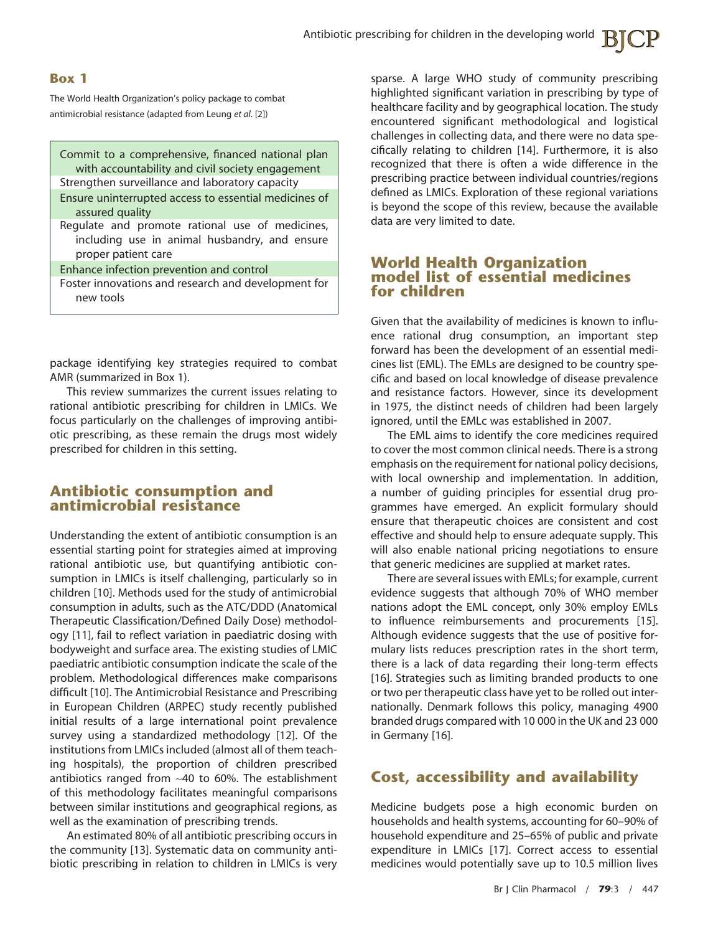#### **Box 1**

The World Health Organization's policy package to combat antimicrobial resistance (adapted from Leung *et al*. [2])

Commit to a comprehensive, financed national plan with accountability and civil society engagement Strengthen surveillance and laboratory capacity

- Ensure uninterrupted access to essential medicines of assured quality
- Regulate and promote rational use of medicines, including use in animal husbandry, and ensure proper patient care

Enhance infection prevention and control

Foster innovations and research and development for new tools

package identifying key strategies required to combat AMR (summarized in Box 1).

This review summarizes the current issues relating to rational antibiotic prescribing for children in LMICs. We focus particularly on the challenges of improving antibiotic prescribing, as these remain the drugs most widely prescribed for children in this setting.

#### **Antibiotic consumption and antimicrobial resistance**

Understanding the extent of antibiotic consumption is an essential starting point for strategies aimed at improving rational antibiotic use, but quantifying antibiotic consumption in LMICs is itself challenging, particularly so in children [10]. Methods used for the study of antimicrobial consumption in adults, such as the ATC/DDD (Anatomical Therapeutic Classification/Defined Daily Dose) methodology [11], fail to reflect variation in paediatric dosing with bodyweight and surface area. The existing studies of LMIC paediatric antibiotic consumption indicate the scale of the problem. Methodological differences make comparisons difficult [10]. The Antimicrobial Resistance and Prescribing in European Children (ARPEC) study recently published initial results of a large international point prevalence survey using a standardized methodology [12]. Of the institutions from LMICs included (almost all of them teaching hospitals), the proportion of children prescribed antibiotics ranged from ∼40 to 60%. The establishment of this methodology facilitates meaningful comparisons between similar institutions and geographical regions, as well as the examination of prescribing trends.

An estimated 80% of all antibiotic prescribing occurs in the community [13]. Systematic data on community antibiotic prescribing in relation to children in LMICs is very sparse. A large WHO study of community prescribing highlighted significant variation in prescribing by type of healthcare facility and by geographical location. The study encountered significant methodological and logistical challenges in collecting data, and there were no data specifically relating to children [14]. Furthermore, it is also recognized that there is often a wide difference in the prescribing practice between individual countries/regions defined as LMICs. Exploration of these regional variations is beyond the scope of this review, because the available data are very limited to date.

#### **World Health Organization model list of essential medicines for children**

Given that the availability of medicines is known to influence rational drug consumption, an important step forward has been the development of an essential medicines list (EML). The EMLs are designed to be country specific and based on local knowledge of disease prevalence and resistance factors. However, since its development in 1975, the distinct needs of children had been largely ignored, until the EMLc was established in 2007.

The EML aims to identify the core medicines required to cover the most common clinical needs. There is a strong emphasis on the requirement for national policy decisions, with local ownership and implementation. In addition, a number of guiding principles for essential drug programmes have emerged. An explicit formulary should ensure that therapeutic choices are consistent and cost effective and should help to ensure adequate supply. This will also enable national pricing negotiations to ensure that generic medicines are supplied at market rates.

There are several issues with EMLs; for example, current evidence suggests that although 70% of WHO member nations adopt the EML concept, only 30% employ EMLs to influence reimbursements and procurements [15]. Although evidence suggests that the use of positive formulary lists reduces prescription rates in the short term, there is a lack of data regarding their long-term effects [16]. Strategies such as limiting branded products to one or two per therapeutic class have yet to be rolled out internationally. Denmark follows this policy, managing 4900 branded drugs compared with 10 000 in the UK and 23 000 in Germany [16].

## **Cost, accessibility and availability**

Medicine budgets pose a high economic burden on households and health systems, accounting for 60–90% of household expenditure and 25–65% of public and private expenditure in LMICs [17]. Correct access to essential medicines would potentially save up to 10.5 million lives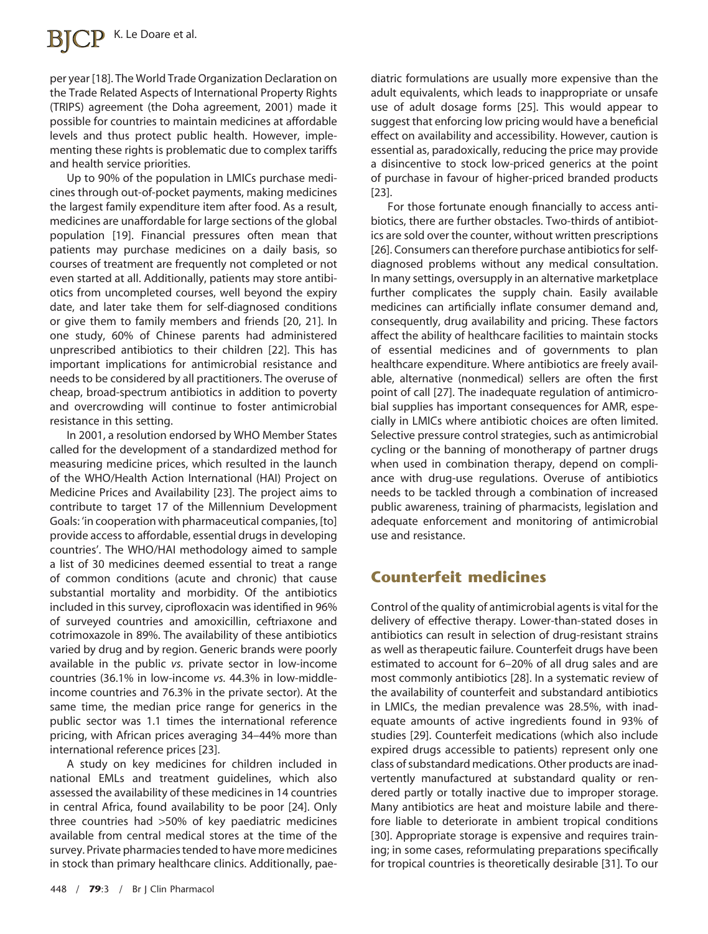per year [18]. The World Trade Organization Declaration on the Trade Related Aspects of International Property Rights (TRIPS) agreement (the Doha agreement, 2001) made it possible for countries to maintain medicines at affordable levels and thus protect public health. However, implementing these rights is problematic due to complex tariffs and health service priorities.

Up to 90% of the population in LMICs purchase medicines through out-of-pocket payments, making medicines the largest family expenditure item after food. As a result, medicines are unaffordable for large sections of the global population [19]. Financial pressures often mean that patients may purchase medicines on a daily basis, so courses of treatment are frequently not completed or not even started at all. Additionally, patients may store antibiotics from uncompleted courses, well beyond the expiry date, and later take them for self-diagnosed conditions or give them to family members and friends [20, 21]. In one study, 60% of Chinese parents had administered unprescribed antibiotics to their children [22]. This has important implications for antimicrobial resistance and needs to be considered by all practitioners. The overuse of cheap, broad-spectrum antibiotics in addition to poverty and overcrowding will continue to foster antimicrobial resistance in this setting.

In 2001, a resolution endorsed by WHO Member States called for the development of a standardized method for measuring medicine prices, which resulted in the launch of the WHO/Health Action International (HAI) Project on Medicine Prices and Availability [23]. The project aims to contribute to target 17 of the Millennium Development Goals: 'in cooperation with pharmaceutical companies, [to] provide access to affordable, essential drugs in developing countries'. The WHO/HAI methodology aimed to sample a list of 30 medicines deemed essential to treat a range of common conditions (acute and chronic) that cause substantial mortality and morbidity. Of the antibiotics included in this survey, ciprofloxacin was identified in 96% of surveyed countries and amoxicillin, ceftriaxone and cotrimoxazole in 89%. The availability of these antibiotics varied by drug and by region. Generic brands were poorly available in the public *vs.* private sector in low-income countries (36.1% in low-income *vs.* 44.3% in low-middleincome countries and 76.3% in the private sector). At the same time, the median price range for generics in the public sector was 1.1 times the international reference pricing, with African prices averaging 34–44% more than international reference prices [23].

A study on key medicines for children included in national EMLs and treatment guidelines, which also assessed the availability of these medicines in 14 countries in central Africa, found availability to be poor [24]. Only three countries had >50% of key paediatric medicines available from central medical stores at the time of the survey. Private pharmacies tended to have more medicines in stock than primary healthcare clinics. Additionally, paediatric formulations are usually more expensive than the adult equivalents, which leads to inappropriate or unsafe use of adult dosage forms [25]. This would appear to suggest that enforcing low pricing would have a beneficial effect on availability and accessibility. However, caution is essential as, paradoxically, reducing the price may provide a disincentive to stock low-priced generics at the point of purchase in favour of higher-priced branded products [23].

For those fortunate enough financially to access antibiotics, there are further obstacles. Two-thirds of antibiotics are sold over the counter, without written prescriptions [26]. Consumers can therefore purchase antibiotics for selfdiagnosed problems without any medical consultation. In many settings, oversupply in an alternative marketplace further complicates the supply chain. Easily available medicines can artificially inflate consumer demand and, consequently, drug availability and pricing. These factors affect the ability of healthcare facilities to maintain stocks of essential medicines and of governments to plan healthcare expenditure. Where antibiotics are freely available, alternative (nonmedical) sellers are often the first point of call [27]. The inadequate regulation of antimicrobial supplies has important consequences for AMR, especially in LMICs where antibiotic choices are often limited. Selective pressure control strategies, such as antimicrobial cycling or the banning of monotherapy of partner drugs when used in combination therapy, depend on compliance with drug-use regulations. Overuse of antibiotics needs to be tackled through a combination of increased public awareness, training of pharmacists, legislation and adequate enforcement and monitoring of antimicrobial use and resistance.

## **Counterfeit medicines**

Control of the quality of antimicrobial agents is vital for the delivery of effective therapy. Lower-than-stated doses in antibiotics can result in selection of drug-resistant strains as well as therapeutic failure. Counterfeit drugs have been estimated to account for 6–20% of all drug sales and are most commonly antibiotics [28]. In a systematic review of the availability of counterfeit and substandard antibiotics in LMICs, the median prevalence was 28.5%, with inadequate amounts of active ingredients found in 93% of studies [29]. Counterfeit medications (which also include expired drugs accessible to patients) represent only one class of substandard medications. Other products are inadvertently manufactured at substandard quality or rendered partly or totally inactive due to improper storage. Many antibiotics are heat and moisture labile and therefore liable to deteriorate in ambient tropical conditions [30]. Appropriate storage is expensive and requires training; in some cases, reformulating preparations specifically for tropical countries is theoretically desirable [31]. To our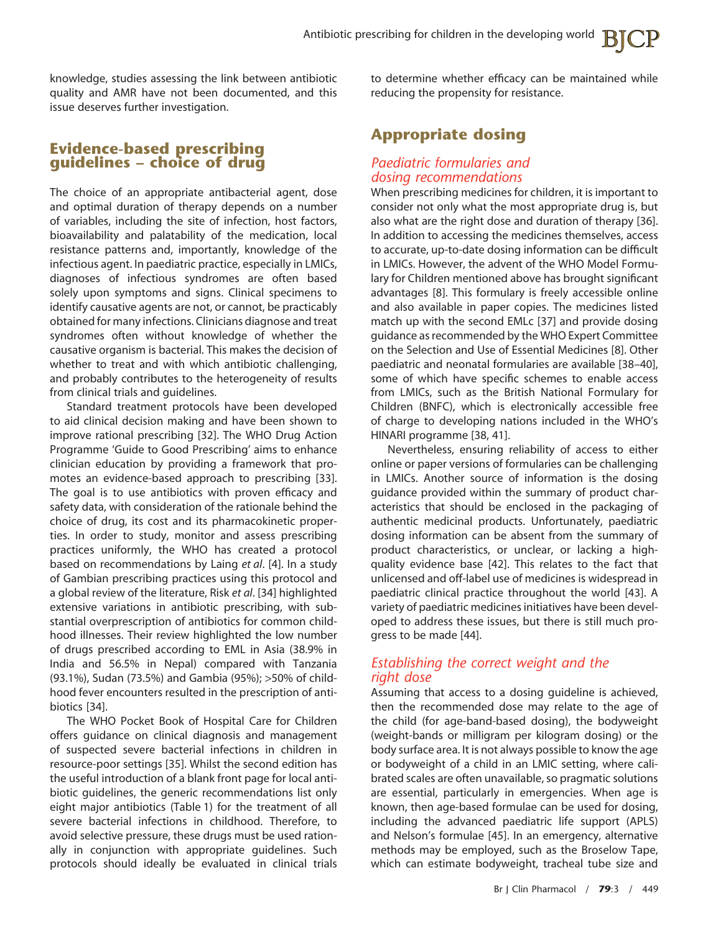knowledge, studies assessing the link between antibiotic quality and AMR have not been documented, and this issue deserves further investigation.

#### **Evidence-based prescribing guidelines – choice of drug**

The choice of an appropriate antibacterial agent, dose and optimal duration of therapy depends on a number of variables, including the site of infection, host factors, bioavailability and palatability of the medication, local resistance patterns and, importantly, knowledge of the infectious agent. In paediatric practice, especially in LMICs, diagnoses of infectious syndromes are often based solely upon symptoms and signs. Clinical specimens to identify causative agents are not, or cannot, be practicably obtained for many infections. Clinicians diagnose and treat syndromes often without knowledge of whether the causative organism is bacterial. This makes the decision of whether to treat and with which antibiotic challenging, and probably contributes to the heterogeneity of results from clinical trials and guidelines.

Standard treatment protocols have been developed to aid clinical decision making and have been shown to improve rational prescribing [32]. The WHO Drug Action Programme 'Guide to Good Prescribing' aims to enhance clinician education by providing a framework that promotes an evidence-based approach to prescribing [33]. The goal is to use antibiotics with proven efficacy and safety data, with consideration of the rationale behind the choice of drug, its cost and its pharmacokinetic properties. In order to study, monitor and assess prescribing practices uniformly, the WHO has created a protocol based on recommendations by Laing *et al*. [4]. In a study of Gambian prescribing practices using this protocol and a global review of the literature, Risk *et al*. [34] highlighted extensive variations in antibiotic prescribing, with substantial overprescription of antibiotics for common childhood illnesses. Their review highlighted the low number of drugs prescribed according to EML in Asia (38.9% in India and 56.5% in Nepal) compared with Tanzania (93.1%), Sudan (73.5%) and Gambia (95%); >50% of childhood fever encounters resulted in the prescription of antibiotics [34].

The WHO Pocket Book of Hospital Care for Children offers guidance on clinical diagnosis and management of suspected severe bacterial infections in children in resource-poor settings [35]. Whilst the second edition has the useful introduction of a blank front page for local antibiotic guidelines, the generic recommendations list only eight major antibiotics (Table 1) for the treatment of all severe bacterial infections in childhood. Therefore, to avoid selective pressure, these drugs must be used rationally in conjunction with appropriate guidelines. Such protocols should ideally be evaluated in clinical trials

to determine whether efficacy can be maintained while reducing the propensity for resistance.

## **Appropriate dosing**

#### *Paediatric formularies and dosing recommendations*

When prescribing medicines for children, it is important to consider not only what the most appropriate drug is, but also what are the right dose and duration of therapy [36]. In addition to accessing the medicines themselves, access to accurate, up-to-date dosing information can be difficult in LMICs. However, the advent of the WHO Model Formulary for Children mentioned above has brought significant advantages [8]. This formulary is freely accessible online and also available in paper copies. The medicines listed match up with the second EMLc [37] and provide dosing guidance as recommended by the WHO Expert Committee on the Selection and Use of Essential Medicines [8]. Other paediatric and neonatal formularies are available [38–40], some of which have specific schemes to enable access from LMICs, such as the British National Formulary for Children (BNFC), which is electronically accessible free of charge to developing nations included in the WHO's HINARI programme [38, 41].

Nevertheless, ensuring reliability of access to either online or paper versions of formularies can be challenging in LMICs. Another source of information is the dosing guidance provided within the summary of product characteristics that should be enclosed in the packaging of authentic medicinal products. Unfortunately, paediatric dosing information can be absent from the summary of product characteristics, or unclear, or lacking a highquality evidence base [42]. This relates to the fact that unlicensed and off-label use of medicines is widespread in paediatric clinical practice throughout the world [43]. A variety of paediatric medicines initiatives have been developed to address these issues, but there is still much progress to be made [44].

#### *Establishing the correct weight and the right dose*

Assuming that access to a dosing guideline is achieved, then the recommended dose may relate to the age of the child (for age-band-based dosing), the bodyweight (weight-bands or milligram per kilogram dosing) or the body surface area. It is not always possible to know the age or bodyweight of a child in an LMIC setting, where calibrated scales are often unavailable, so pragmatic solutions are essential, particularly in emergencies. When age is known, then age-based formulae can be used for dosing, including the advanced paediatric life support (APLS) and Nelson's formulae [45]. In an emergency, alternative methods may be employed, such as the Broselow Tape, which can estimate bodyweight, tracheal tube size and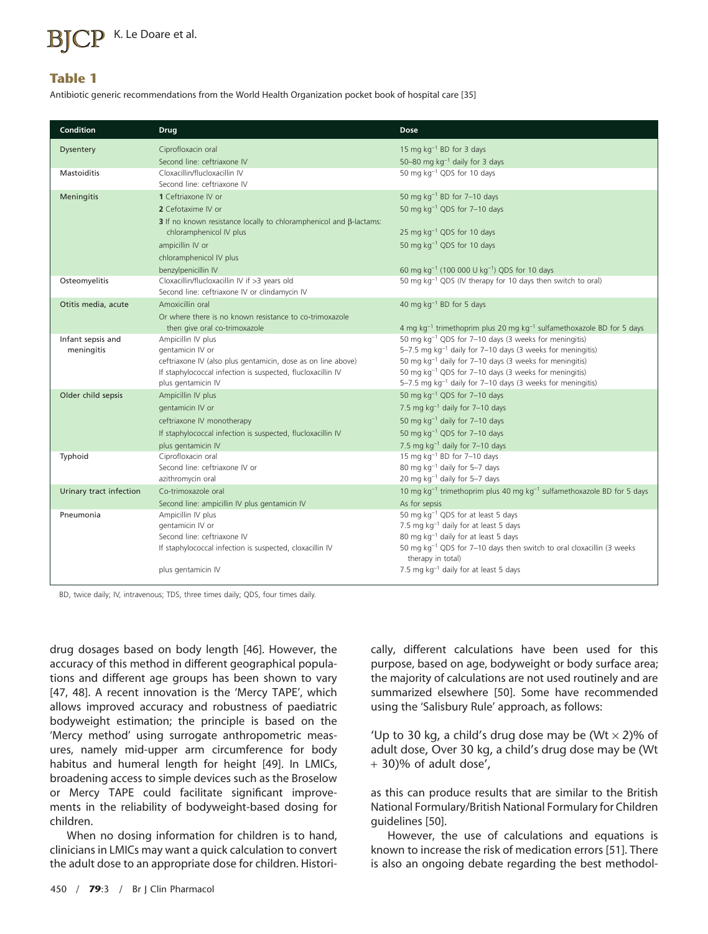## K. Le Doare et al.

#### **Table 1**

Antibiotic generic recommendations from the World Health Organization pocket book of hospital care [35]

| Condition               | <b>Drug</b>                                                                       | Dose                                                                                                                                        |  |  |
|-------------------------|-----------------------------------------------------------------------------------|---------------------------------------------------------------------------------------------------------------------------------------------|--|--|
| <b>Dysentery</b>        | Ciprofloxacin oral                                                                | 15 mg kg <sup>-1</sup> BD for 3 days                                                                                                        |  |  |
|                         | Second line: ceftriaxone IV                                                       | 50-80 mg $kg^{-1}$ daily for 3 days                                                                                                         |  |  |
| <b>Mastoiditis</b>      | Cloxacillin/flucloxacillin IV                                                     | 50 mg kg <sup>-1</sup> QDS for 10 days                                                                                                      |  |  |
|                         | Second line: ceftriaxone IV                                                       |                                                                                                                                             |  |  |
| Meningitis              | 1 Ceftriaxone IV or                                                               | 50 mg $kg^{-1}$ BD for 7-10 days                                                                                                            |  |  |
|                         | 2 Cefotaxime IV or                                                                | 50 mg kg <sup>-1</sup> QDS for 7-10 days                                                                                                    |  |  |
|                         | 3 If no known resistance locally to chloramphenicol and $\beta$ -lactams:         |                                                                                                                                             |  |  |
|                         | chloramphenicol IV plus                                                           | 25 mg kg <sup>-1</sup> QDS for 10 days                                                                                                      |  |  |
|                         | ampicillin IV or                                                                  | 50 mg kg <sup>-1</sup> QDS for 10 days                                                                                                      |  |  |
|                         | chloramphenicol IV plus                                                           |                                                                                                                                             |  |  |
|                         | benzylpenicillin IV                                                               | 60 mg kg <sup>-1</sup> (100 000 U kg <sup>-1</sup> ) QDS for 10 days                                                                        |  |  |
| Osteomyelitis           | Cloxacillin/flucloxacillin IV if >3 years old                                     | 50 mg kg <sup>-1</sup> QDS (IV therapy for 10 days then switch to oral)                                                                     |  |  |
|                         | Second line: ceftriaxone IV or clindamycin IV                                     |                                                                                                                                             |  |  |
| Otitis media, acute     | Amoxicillin oral                                                                  | 40 mg $kg^{-1}$ BD for 5 days                                                                                                               |  |  |
|                         | Or where there is no known resistance to co-trimoxazole                           |                                                                                                                                             |  |  |
|                         | then give oral co-trimoxazole                                                     | 4 mg kg <sup>-1</sup> trimethoprim plus 20 mg kg <sup>-1</sup> sulfamethoxazole BD for 5 days                                               |  |  |
| Infant sepsis and       | Ampicillin IV plus                                                                | 50 mg kg <sup>-1</sup> QDS for 7-10 days (3 weeks for meningitis)                                                                           |  |  |
| meningitis              | gentamicin IV or                                                                  | 5-7.5 mg kg <sup>-1</sup> daily for 7-10 days (3 weeks for meningitis)                                                                      |  |  |
|                         | ceftriaxone IV (also plus gentamicin, dose as on line above)                      | 50 mg kg <sup>-1</sup> daily for 7-10 days (3 weeks for meningitis)                                                                         |  |  |
|                         | If staphylococcal infection is suspected, flucloxacillin IV<br>plus gentamicin IV | 50 mg kg <sup>-1</sup> QDS for 7-10 days (3 weeks for meningitis)<br>5-7.5 mg kg <sup>-1</sup> daily for 7-10 days (3 weeks for meningitis) |  |  |
|                         |                                                                                   |                                                                                                                                             |  |  |
| Older child sepsis      | Ampicillin IV plus                                                                | 50 mg kg <sup>-1</sup> QDS for 7-10 days                                                                                                    |  |  |
|                         | gentamicin IV or                                                                  | 7.5 mg $kg^{-1}$ daily for 7-10 days                                                                                                        |  |  |
|                         | ceftriaxone IV monotherapy                                                        | 50 mg $kg^{-1}$ daily for 7-10 days                                                                                                         |  |  |
|                         | If staphylococcal infection is suspected, flucloxacillin IV                       | 50 mg kg <sup>-1</sup> QDS for 7-10 days                                                                                                    |  |  |
|                         | plus gentamicin IV                                                                | 7.5 mg $kg^{-1}$ daily for 7-10 days                                                                                                        |  |  |
| Typhoid                 | Ciprofloxacin oral<br>Second line: ceftriaxone IV or                              | 15 mg $kg^{-1}$ BD for 7-10 days<br>80 mg kg <sup>-1</sup> daily for 5-7 days                                                               |  |  |
|                         | azithromycin oral                                                                 | 20 mg $kg^{-1}$ daily for 5-7 days                                                                                                          |  |  |
| Urinary tract infection | Co-trimoxazole oral                                                               | 10 mg kg <sup>-1</sup> trimethoprim plus 40 mg kg <sup>-1</sup> sulfamethoxazole BD for 5 days                                              |  |  |
|                         |                                                                                   | As for sepsis                                                                                                                               |  |  |
| Pneumonia               | Second line: ampicillin IV plus gentamicin IV<br>Ampicillin IV plus               | 50 mg kg <sup>-1</sup> QDS for at least 5 days                                                                                              |  |  |
|                         | gentamicin IV or                                                                  | 7.5 mg kg <sup>-1</sup> daily for at least 5 days                                                                                           |  |  |
|                         | Second line: ceftriaxone IV                                                       | 80 mg kg <sup>-1</sup> daily for at least 5 days                                                                                            |  |  |
|                         | If staphylococcal infection is suspected, cloxacillin IV                          | 50 mg kg <sup>-1</sup> QDS for 7-10 days then switch to oral cloxacillin (3 weeks<br>therapy in total)                                      |  |  |
|                         | plus gentamicin IV                                                                | 7.5 mg kg <sup>-1</sup> daily for at least 5 days                                                                                           |  |  |

BD, twice daily; IV, intravenous; TDS, three times daily; QDS, four times daily.

drug dosages based on body length [46]. However, the accuracy of this method in different geographical populations and different age groups has been shown to vary [47, 48]. A recent innovation is the 'Mercy TAPE', which allows improved accuracy and robustness of paediatric bodyweight estimation; the principle is based on the 'Mercy method' using surrogate anthropometric measures, namely mid-upper arm circumference for body habitus and humeral length for height [49]. In LMICs, broadening access to simple devices such as the Broselow or Mercy TAPE could facilitate significant improvements in the reliability of bodyweight-based dosing for children.

When no dosing information for children is to hand, clinicians in LMICs may want a quick calculation to convert the adult dose to an appropriate dose for children. Historically, different calculations have been used for this purpose, based on age, bodyweight or body surface area; the majority of calculations are not used routinely and are summarized elsewhere [50]. Some have recommended using the 'Salisbury Rule' approach, as follows:

'Up to 30 kg, a child's drug dose may be (Wt  $\times$  2)% of adult dose, Over 30 kg, a child's drug dose may be (Wt + 30)% of adult dose',

as this can produce results that are similar to the British National Formulary/British National Formulary for Children guidelines [50].

However, the use of calculations and equations is known to increase the risk of medication errors [51]. There is also an ongoing debate regarding the best methodol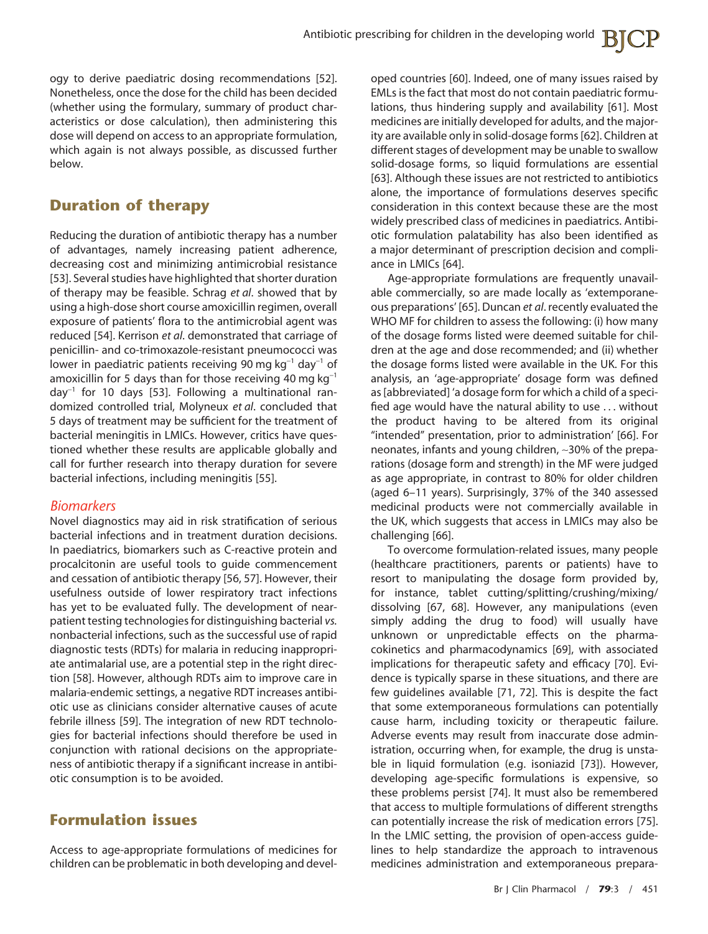ogy to derive paediatric dosing recommendations [52]. Nonetheless, once the dose for the child has been decided (whether using the formulary, summary of product characteristics or dose calculation), then administering this dose will depend on access to an appropriate formulation, which again is not always possible, as discussed further below.

## **Duration of therapy**

Reducing the duration of antibiotic therapy has a number of advantages, namely increasing patient adherence, decreasing cost and minimizing antimicrobial resistance [53]. Several studies have highlighted that shorter duration of therapy may be feasible. Schrag *et al*. showed that by using a high-dose short course amoxicillin regimen, overall exposure of patients' flora to the antimicrobial agent was reduced [54]. Kerrison *et al*. demonstrated that carriage of penicillin- and co-trimoxazole-resistant pneumococci was lower in paediatric patients receiving 90 mg kg<sup>−</sup><sup>1</sup> day<sup>−</sup><sup>1</sup> of amoxicillin for 5 days than for those receiving 40 mg  $kq^{-1}$ day<sup>−</sup><sup>1</sup> for 10 days [53]. Following a multinational randomized controlled trial, Molyneux *et al*. concluded that 5 days of treatment may be sufficient for the treatment of bacterial meningitis in LMICs. However, critics have questioned whether these results are applicable globally and call for further research into therapy duration for severe bacterial infections, including meningitis [55].

#### *Biomarkers*

Novel diagnostics may aid in risk stratification of serious bacterial infections and in treatment duration decisions. In paediatrics, biomarkers such as C-reactive protein and procalcitonin are useful tools to guide commencement and cessation of antibiotic therapy [56, 57]. However, their usefulness outside of lower respiratory tract infections has yet to be evaluated fully. The development of nearpatient testing technologies for distinguishing bacterial *vs.* nonbacterial infections, such as the successful use of rapid diagnostic tests (RDTs) for malaria in reducing inappropriate antimalarial use, are a potential step in the right direction [58]. However, although RDTs aim to improve care in malaria-endemic settings, a negative RDT increases antibiotic use as clinicians consider alternative causes of acute febrile illness [59]. The integration of new RDT technologies for bacterial infections should therefore be used in conjunction with rational decisions on the appropriateness of antibiotic therapy if a significant increase in antibiotic consumption is to be avoided.

## **Formulation issues**

Access to age-appropriate formulations of medicines for children can be problematic in both developing and developed countries [60]. Indeed, one of many issues raised by EMLs is the fact that most do not contain paediatric formulations, thus hindering supply and availability [61]. Most medicines are initially developed for adults, and the majority are available only in solid-dosage forms [62]. Children at different stages of development may be unable to swallow solid-dosage forms, so liquid formulations are essential [63]. Although these issues are not restricted to antibiotics alone, the importance of formulations deserves specific consideration in this context because these are the most widely prescribed class of medicines in paediatrics. Antibiotic formulation palatability has also been identified as a major determinant of prescription decision and compliance in LMICs [64].

Age-appropriate formulations are frequently unavailable commercially, so are made locally as 'extemporaneous preparations' [65]. Duncan *et al*. recently evaluated the WHO MF for children to assess the following: (i) how many of the dosage forms listed were deemed suitable for children at the age and dose recommended; and (ii) whether the dosage forms listed were available in the UK. For this analysis, an 'age-appropriate' dosage form was defined as [abbreviated] 'a dosage form for which a child of a specified age would have the natural ability to use . . . without the product having to be altered from its original "intended" presentation, prior to administration' [66]. For neonates, infants and young children, ∼30% of the preparations (dosage form and strength) in the MF were judged as age appropriate, in contrast to 80% for older children (aged 6–11 years). Surprisingly, 37% of the 340 assessed medicinal products were not commercially available in the UK, which suggests that access in LMICs may also be challenging [66].

To overcome formulation-related issues, many people (healthcare practitioners, parents or patients) have to resort to manipulating the dosage form provided by, for instance, tablet cutting/splitting/crushing/mixing/ dissolving [67, 68]. However, any manipulations (even simply adding the drug to food) will usually have unknown or unpredictable effects on the pharmacokinetics and pharmacodynamics [69], with associated implications for therapeutic safety and efficacy [70]. Evidence is typically sparse in these situations, and there are few guidelines available [71, 72]. This is despite the fact that some extemporaneous formulations can potentially cause harm, including toxicity or therapeutic failure. Adverse events may result from inaccurate dose administration, occurring when, for example, the drug is unstable in liquid formulation (e.g. isoniazid [73]). However, developing age-specific formulations is expensive, so these problems persist [74]. It must also be remembered that access to multiple formulations of different strengths can potentially increase the risk of medication errors [75]. In the LMIC setting, the provision of open-access guidelines to help standardize the approach to intravenous medicines administration and extemporaneous prepara-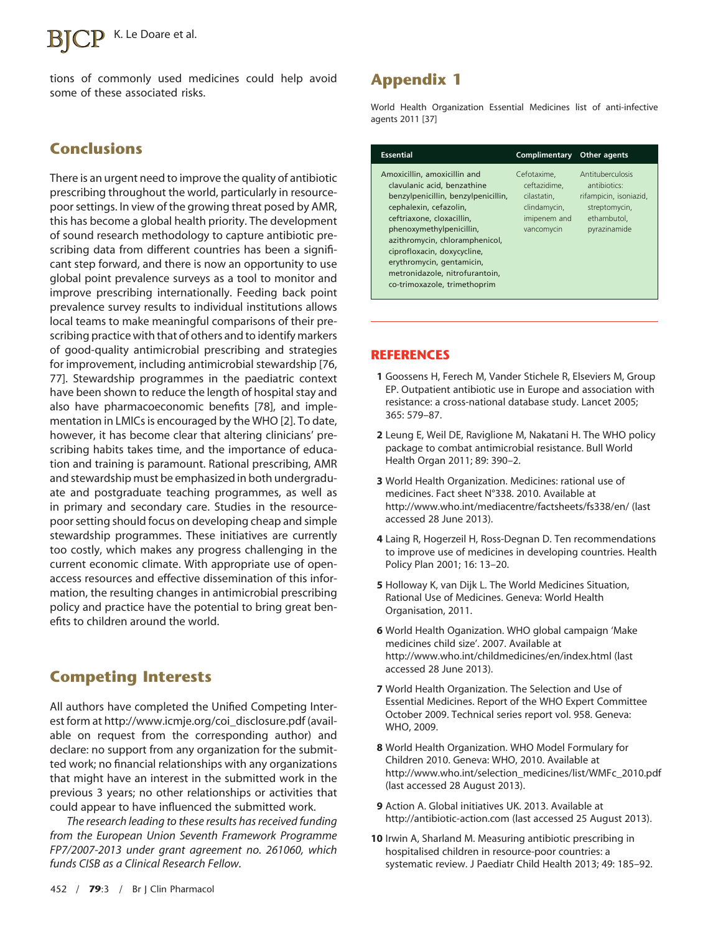## K. Le Doare et al.

tions of commonly used medicines could help avoid some of these associated risks.

### **Conclusions**

There is an urgent need to improve the quality of antibiotic prescribing throughout the world, particularly in resourcepoor settings. In view of the growing threat posed by AMR, this has become a global health priority. The development of sound research methodology to capture antibiotic prescribing data from different countries has been a significant step forward, and there is now an opportunity to use global point prevalence surveys as a tool to monitor and improve prescribing internationally. Feeding back point prevalence survey results to individual institutions allows local teams to make meaningful comparisons of their prescribing practice with that of others and to identify markers of good-quality antimicrobial prescribing and strategies for improvement, including antimicrobial stewardship [76, 77]. Stewardship programmes in the paediatric context have been shown to reduce the length of hospital stay and also have pharmacoeconomic benefits [78], and implementation in LMICs is encouraged by the WHO [2]. To date, however, it has become clear that altering clinicians' prescribing habits takes time, and the importance of education and training is paramount. Rational prescribing, AMR and stewardship must be emphasized in both undergraduate and postgraduate teaching programmes, as well as in primary and secondary care. Studies in the resourcepoor setting should focus on developing cheap and simple stewardship programmes. These initiatives are currently too costly, which makes any progress challenging in the current economic climate. With appropriate use of openaccess resources and effective dissemination of this information, the resulting changes in antimicrobial prescribing policy and practice have the potential to bring great benefits to children around the world.

### **Competing Interests**

All authors have completed the Unified Competing Interest form at [http://www.icmje.org/coi\\_disclosure.pdf](http://www.icmje.org/coi_disclosure.pdf) (available on request from the corresponding author) and declare: no support from any organization for the submitted work; no financial relationships with any organizations that might have an interest in the submitted work in the previous 3 years; no other relationships or activities that could appear to have influenced the submitted work.

*The research leading to these results has received funding from the European Union Seventh Framework Programme FP7/2007-2013 under grant agreement no. 261060, which funds CISB as a Clinical Research Fellow.*

World Health Organization Essential Medicines list of anti-infective agents 2011 [37]

| <b>Essential</b>                                                                                                                                                                                                                                                                                                                                      | Complimentary                                                                            | Other agents                                                                                               |
|-------------------------------------------------------------------------------------------------------------------------------------------------------------------------------------------------------------------------------------------------------------------------------------------------------------------------------------------------------|------------------------------------------------------------------------------------------|------------------------------------------------------------------------------------------------------------|
| Amoxicillin, amoxicillin and<br>clavulanic acid, benzathine<br>benzylpenicillin, benzylpenicillin,<br>cephalexin, cefazolin,<br>ceftriaxone, cloxacillin,<br>phenoxymethylpenicillin,<br>azithromycin, chloramphenicol,<br>ciprofloxacin, doxycycline,<br>erythromycin, gentamicin,<br>metronidazole, nitrofurantoin,<br>co-trimoxazole, trimethoprim | Cefotaxime.<br>ceftazidime.<br>cilastatin.<br>clindamycin,<br>imipenem and<br>vancomycin | Antituberculosis<br>antibiotics:<br>rifampicin, isoniazid,<br>streptomycin,<br>ethambutol.<br>pyrazinamide |

#### **REFERENCES**

- **1** Goossens H, Ferech M, Vander Stichele R, Elseviers M, Group EP. Outpatient antibiotic use in Europe and association with resistance: a cross-national database study. Lancet 2005; 365: 579–87.
- **2** Leung E, Weil DE, Raviglione M, Nakatani H. The WHO policy package to combat antimicrobial resistance. Bull World Health Organ 2011; 89: 390–2.
- **3** World Health Organization. Medicines: rational use of medicines. Fact sheet N°338. 2010. Available at <http://www.who.int/mediacentre/factsheets/fs338/en/> (last accessed 28 June 2013).
- **4** Laing R, Hogerzeil H, Ross-Degnan D. Ten recommendations to improve use of medicines in developing countries. Health Policy Plan 2001; 16: 13–20.
- **5** Holloway K, van Dijk L. The World Medicines Situation, Rational Use of Medicines. Geneva: World Health Organisation, 2011.
- **6** World Health Oganization. WHO global campaign 'Make medicines child size'. 2007. Available at <http://www.who.int/childmedicines/en/index.html> (last accessed 28 June 2013).
- **7** World Health Organization. The Selection and Use of Essential Medicines. Report of the WHO Expert Committee October 2009. Technical series report vol. 958. Geneva: WHO, 2009.
- **8** World Health Organization. WHO Model Formulary for Children 2010. Geneva: WHO, 2010. Available at [http://www.who.int/selection\\_medicines/list/WMFc\\_2010.pdf](http://www.who.int/selection_medicines/list/WMFc_2010.pdf) (last accessed 28 August 2013).
- **9** Action A. Global initiatives UK. 2013. Available at <http://antibiotic-action.com> (last accessed 25 August 2013).
- **10** Irwin A, Sharland M. Measuring antibiotic prescribing in hospitalised children in resource-poor countries: a systematic review. J Paediatr Child Health 2013; 49: 185–92.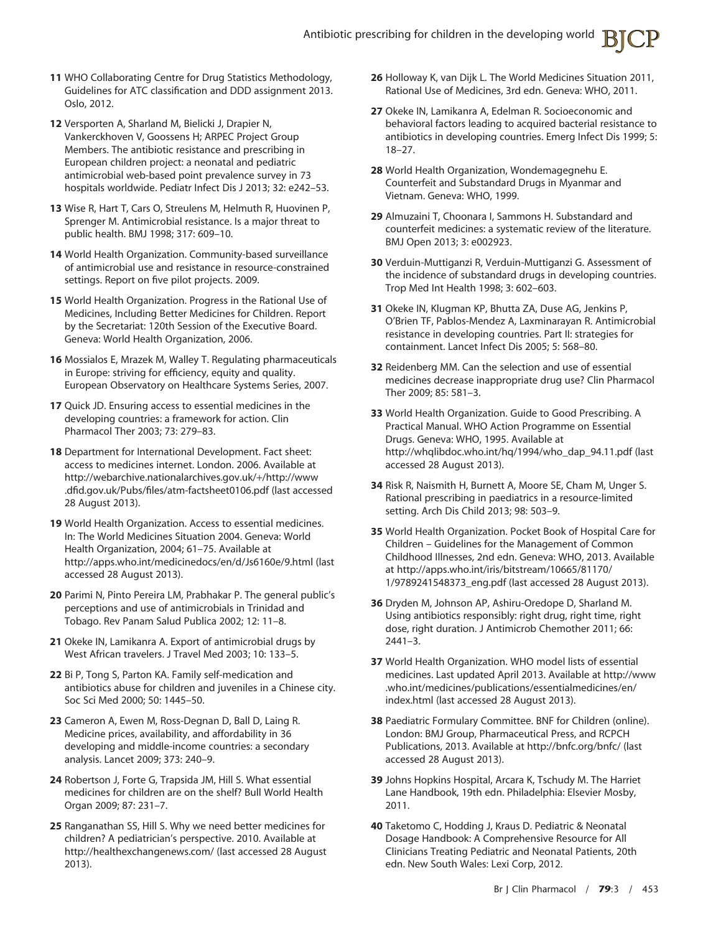- **11** WHO Collaborating Centre for Drug Statistics Methodology, Guidelines for ATC classification and DDD assignment 2013. Oslo, 2012.
- **12** Versporten A, Sharland M, Bielicki J, Drapier N, Vankerckhoven V, Goossens H; ARPEC Project Group Members. The antibiotic resistance and prescribing in European children project: a neonatal and pediatric antimicrobial web-based point prevalence survey in 73 hospitals worldwide. Pediatr Infect Dis J 2013; 32: e242–53.
- **13** Wise R, Hart T, Cars O, Streulens M, Helmuth R, Huovinen P, Sprenger M. Antimicrobial resistance. Is a major threat to public health. BMJ 1998; 317: 609–10.
- **14** World Health Organization. Community-based surveillance of antimicrobial use and resistance in resource-constrained settings. Report on five pilot projects. 2009.
- **15** World Health Organization. Progress in the Rational Use of Medicines, Including Better Medicines for Children. Report by the Secretariat: 120th Session of the Executive Board. Geneva: World Health Organization, 2006.
- **16** Mossialos E, Mrazek M, Walley T. Regulating pharmaceuticals in Europe: striving for efficiency, equity and quality. European Observatory on Healthcare Systems Series, 2007.
- **17** Quick JD. Ensuring access to essential medicines in the developing countries: a framework for action. Clin Pharmacol Ther 2003; 73: 279–83.
- **18** Department for International Development. Fact sheet: access to medicines internet. London. 2006. Available at [http://webarchive.nationalarchives.gov.uk/](http://webarchive.nationalarchives.gov.uk/+/http://www.dfid.gov.uk/Pubs/files/atm-factsheet0106.pdf)+/http://www [.dfid.gov.uk/Pubs/files/atm-factsheet0106.pdf](http://webarchive.nationalarchives.gov.uk/+/http://www.dfid.gov.uk/Pubs/files/atm-factsheet0106.pdf) (last accessed 28 August 2013).
- **19** World Health Organization. Access to essential medicines. In: The World Medicines Situation 2004. Geneva: World Health Organization, 2004; 61–75. Available at <http://apps.who.int/medicinedocs/en/d/Js6160e/9.html> (last accessed 28 August 2013).
- **20** Parimi N, Pinto Pereira LM, Prabhakar P. The general public's perceptions and use of antimicrobials in Trinidad and Tobago. Rev Panam Salud Publica 2002; 12: 11–8.
- **21** Okeke IN, Lamikanra A. Export of antimicrobial drugs by West African travelers. J Travel Med 2003; 10: 133–5.
- **22** Bi P, Tong S, Parton KA. Family self-medication and antibiotics abuse for children and juveniles in a Chinese city. Soc Sci Med 2000; 50: 1445–50.
- **23** Cameron A, Ewen M, Ross-Degnan D, Ball D, Laing R. Medicine prices, availability, and affordability in 36 developing and middle-income countries: a secondary analysis. Lancet 2009; 373: 240–9.
- **24** Robertson J, Forte G, Trapsida JM, Hill S. What essential medicines for children are on the shelf? Bull World Health Organ 2009; 87: 231–7.
- **25** Ranganathan SS, Hill S. Why we need better medicines for children? A pediatrician's perspective. 2010. Available at <http://healthexchangenews.com/> (last accessed 28 August 2013).
- **26** Holloway K, van Dijk L. The World Medicines Situation 2011, Rational Use of Medicines, 3rd edn. Geneva: WHO, 2011.
- **27** Okeke IN, Lamikanra A, Edelman R. Socioeconomic and behavioral factors leading to acquired bacterial resistance to antibiotics in developing countries. Emerg Infect Dis 1999; 5: 18–27.
- **28** World Health Organization, Wondemagegnehu E. Counterfeit and Substandard Drugs in Myanmar and Vietnam. Geneva: WHO, 1999.
- **29** Almuzaini T, Choonara I, Sammons H. Substandard and counterfeit medicines: a systematic review of the literature. BMJ Open 2013; 3: e002923.
- **30** Verduin-Muttiganzi R, Verduin-Muttiganzi G. Assessment of the incidence of substandard drugs in developing countries. Trop Med Int Health 1998; 3: 602–603.
- **31** Okeke IN, Klugman KP, Bhutta ZA, Duse AG, Jenkins P, O'Brien TF, Pablos-Mendez A, Laxminarayan R. Antimicrobial resistance in developing countries. Part II: strategies for containment. Lancet Infect Dis 2005; 5: 568–80.
- **32** Reidenberg MM. Can the selection and use of essential medicines decrease inappropriate drug use? Clin Pharmacol Ther 2009; 85: 581–3.
- **33** World Health Organization. Guide to Good Prescribing. A Practical Manual. WHO Action Programme on Essential Drugs. Geneva: WHO, 1995. Available at [http://whqlibdoc.who.int/hq/1994/who\\_dap\\_94.11.pdf](http://whqlibdoc.who.int/hq/1994/who_dap_94.11.pdf) (last accessed 28 August 2013).
- **34** Risk R, Naismith H, Burnett A, Moore SE, Cham M, Unger S. Rational prescribing in paediatrics in a resource-limited setting. Arch Dis Child 2013; 98: 503–9.
- **35** World Health Organization. Pocket Book of Hospital Care for Children – Guidelines for the Management of Common Childhood Illnesses, 2nd edn. Geneva: WHO, 2013. Available at [http://apps.who.int/iris/bitstream/10665/81170/](http://apps.who.int/iris/bitstream/10665/81170/1/9789241548373_eng.pdf) [1/9789241548373\\_eng.pdf](http://apps.who.int/iris/bitstream/10665/81170/1/9789241548373_eng.pdf) (last accessed 28 August 2013).
- **36** Dryden M, Johnson AP, Ashiru-Oredope D, Sharland M. Using antibiotics responsibly: right drug, right time, right dose, right duration. J Antimicrob Chemother 2011; 66: 2441–3.
- **37** World Health Organization. WHO model lists of essential medicines. Last updated April 2013. Available at [http://www](http://www.who.int/medicines/publications/essentialmedicines/en/index.html) [.who.int/medicines/publications/essentialmedicines/en/](http://www.who.int/medicines/publications/essentialmedicines/en/index.html) [index.html](http://www.who.int/medicines/publications/essentialmedicines/en/index.html) (last accessed 28 August 2013).
- **38** Paediatric Formulary Committee. BNF for Children (online). London: BMJ Group, Pharmaceutical Press, and RCPCH Publications, 2013. Available at<http://bnfc.org/bnfc/> (last accessed 28 August 2013).
- **39** Johns Hopkins Hospital, Arcara K, Tschudy M. The Harriet Lane Handbook, 19th edn. Philadelphia: Elsevier Mosby, 2011.
- **40** Taketomo C, Hodding J, Kraus D. Pediatric & Neonatal Dosage Handbook: A Comprehensive Resource for All Clinicians Treating Pediatric and Neonatal Patients, 20th edn. New South Wales: Lexi Corp, 2012.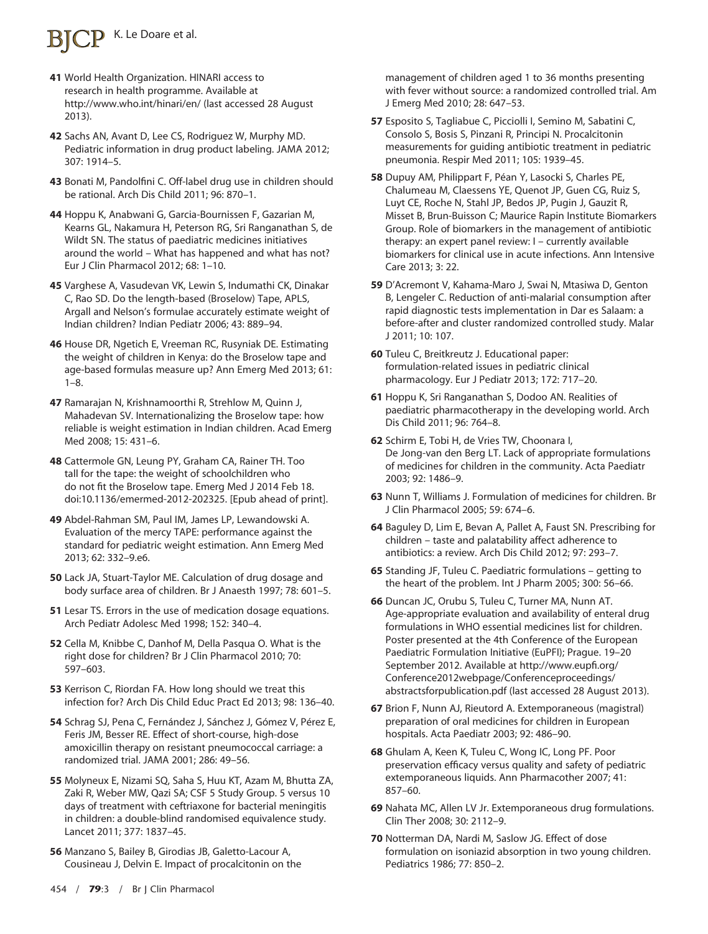# K. Le Doare et al.

- **41** World Health Organization. HINARI access to research in health programme. Available at <http://www.who.int/hinari/en/> (last accessed 28 August 2013).
- **42** Sachs AN, Avant D, Lee CS, Rodriguez W, Murphy MD. Pediatric information in drug product labeling. JAMA 2012; 307: 1914–5.
- **43** Bonati M, Pandolfini C. Off-label drug use in children should be rational. Arch Dis Child 2011; 96: 870–1.
- **44** Hoppu K, Anabwani G, Garcia-Bournissen F, Gazarian M, Kearns GL, Nakamura H, Peterson RG, Sri Ranganathan S, de Wildt SN. The status of paediatric medicines initiatives around the world – What has happened and what has not? Eur J Clin Pharmacol 2012; 68: 1–10.
- **45** Varghese A, Vasudevan VK, Lewin S, Indumathi CK, Dinakar C, Rao SD. Do the length-based (Broselow) Tape, APLS, Argall and Nelson's formulae accurately estimate weight of Indian children? Indian Pediatr 2006; 43: 889–94.
- **46** House DR, Ngetich E, Vreeman RC, Rusyniak DE. Estimating the weight of children in Kenya: do the Broselow tape and age-based formulas measure up? Ann Emerg Med 2013; 61: 1–8.
- **47** Ramarajan N, Krishnamoorthi R, Strehlow M, Quinn J, Mahadevan SV. Internationalizing the Broselow tape: how reliable is weight estimation in Indian children. Acad Emerg Med 2008; 15: 431–6.
- **48** Cattermole GN, Leung PY, Graham CA, Rainer TH. Too tall for the tape: the weight of schoolchildren who do not fit the Broselow tape. Emerg Med J 2014 Feb 18. doi:10.1136/emermed-2012-202325. [Epub ahead of print].
- **49** Abdel-Rahman SM, Paul IM, James LP, Lewandowski A. Evaluation of the mercy TAPE: performance against the standard for pediatric weight estimation. Ann Emerg Med 2013; 62: 332–9.e6.
- **50** Lack JA, Stuart-Taylor ME. Calculation of drug dosage and body surface area of children. Br J Anaesth 1997; 78: 601–5.
- **51** Lesar TS. Errors in the use of medication dosage equations. Arch Pediatr Adolesc Med 1998; 152: 340–4.
- **52** Cella M, Knibbe C, Danhof M, Della Pasqua O. What is the right dose for children? Br J Clin Pharmacol 2010; 70: 597–603.
- **53** Kerrison C, Riordan FA. How long should we treat this infection for? Arch Dis Child Educ Pract Ed 2013; 98: 136–40.
- **54** Schrag SJ, Pena C, Fernández J, Sánchez J, Gómez V, Pérez E, Feris JM, Besser RE. Effect of short-course, high-dose amoxicillin therapy on resistant pneumococcal carriage: a randomized trial. JAMA 2001; 286: 49–56.
- **55** Molyneux E, Nizami SQ, Saha S, Huu KT, Azam M, Bhutta ZA, Zaki R, Weber MW, Qazi SA; CSF 5 Study Group. 5 versus 10 days of treatment with ceftriaxone for bacterial meningitis in children: a double-blind randomised equivalence study. Lancet 2011; 377: 1837–45.
- **56** Manzano S, Bailey B, Girodias JB, Galetto-Lacour A, Cousineau J, Delvin E. Impact of procalcitonin on the

management of children aged 1 to 36 months presenting with fever without source: a randomized controlled trial. Am J Emerg Med 2010; 28: 647–53.

- **57** Esposito S, Tagliabue C, Picciolli I, Semino M, Sabatini C, Consolo S, Bosis S, Pinzani R, Principi N. Procalcitonin measurements for guiding antibiotic treatment in pediatric pneumonia. Respir Med 2011; 105: 1939–45.
- **58** Dupuy AM, Philippart F, Péan Y, Lasocki S, Charles PE, Chalumeau M, Claessens YE, Quenot JP, Guen CG, Ruiz S, Luyt CE, Roche N, Stahl JP, Bedos JP, Pugin J, Gauzit R, Misset B, Brun-Buisson C; Maurice Rapin Institute Biomarkers Group. Role of biomarkers in the management of antibiotic therapy: an expert panel review: I – currently available biomarkers for clinical use in acute infections. Ann Intensive Care 2013; 3: 22.
- **59** D'Acremont V, Kahama-Maro J, Swai N, Mtasiwa D, Genton B, Lengeler C. Reduction of anti-malarial consumption after rapid diagnostic tests implementation in Dar es Salaam: a before-after and cluster randomized controlled study. Malar J 2011; 10: 107.
- **60** Tuleu C, Breitkreutz J. Educational paper: formulation-related issues in pediatric clinical pharmacology. Eur J Pediatr 2013; 172: 717–20.
- **61** Hoppu K, Sri Ranganathan S, Dodoo AN. Realities of paediatric pharmacotherapy in the developing world. Arch Dis Child 2011; 96: 764–8.
- **62** Schirm E, Tobi H, de Vries TW, Choonara I, De Jong-van den Berg LT. Lack of appropriate formulations of medicines for children in the community. Acta Paediatr 2003; 92: 1486–9.
- **63** Nunn T, Williams J. Formulation of medicines for children. Br J Clin Pharmacol 2005; 59: 674–6.
- **64** Baguley D, Lim E, Bevan A, Pallet A, Faust SN. Prescribing for children – taste and palatability affect adherence to antibiotics: a review. Arch Dis Child 2012; 97: 293–7.
- **65** Standing JF, Tuleu C. Paediatric formulations getting to the heart of the problem. Int J Pharm 2005; 300: 56–66.
- **66** Duncan JC, Orubu S, Tuleu C, Turner MA, Nunn AT. Age-appropriate evaluation and availability of enteral drug formulations in WHO essential medicines list for children. Poster presented at the 4th Conference of the European Paediatric Formulation Initiative (EuPFI); Prague. 19–20 September 2012. Available at [http://www.eupfi.org/](http://www.eupfi.org/Conference2012webpage/Conferenceproceedings/abstractsforpublication.pdf) [Conference2012webpage/Conferenceproceedings/](http://www.eupfi.org/Conference2012webpage/Conferenceproceedings/abstractsforpublication.pdf) [abstractsforpublication.pdf](http://www.eupfi.org/Conference2012webpage/Conferenceproceedings/abstractsforpublication.pdf) (last accessed 28 August 2013).
- **67** Brion F, Nunn AJ, Rieutord A. Extemporaneous (magistral) preparation of oral medicines for children in European hospitals. Acta Paediatr 2003; 92: 486–90.
- **68** Ghulam A, Keen K, Tuleu C, Wong IC, Long PF. Poor preservation efficacy versus quality and safety of pediatric extemporaneous liquids. Ann Pharmacother 2007; 41: 857–60.
- **69** Nahata MC, Allen LV Jr. Extemporaneous drug formulations. Clin Ther 2008; 30: 2112–9.
- **70** Notterman DA, Nardi M, Saslow JG. Effect of dose formulation on isoniazid absorption in two young children. Pediatrics 1986; 77: 850–2.